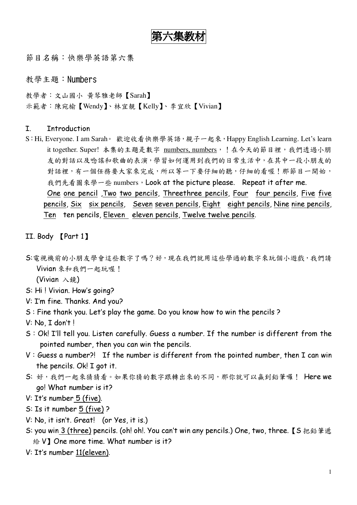第六集教材

節目名稱:快樂學英語第六集

教學主題:Numbers

教學者:文山國小 黃琴雅老師【Sarah】 示範者:陳宛榆【Wendy】、林宜靚【Kelly】、李宜欣【Vivian】

## I. Introduction

S:Hi, Everyone. I am Sarah。 歡迎收看快樂學英語,親子一起來,Happy English Learning. Let's learn it together. Super! 本集的主題是數字 numbers, numbers, ! 在今天的節目裡, 我們透過小朋 友的對話以及唸謠和歌曲的表演,學習如何運用到我們的日常生活中,在其中一段小朋友的 對話裡,有一個任務要大家來完成,所以等一下要仔細的聽,仔細的看喔!那節目一開始, 我們先看圖來學一些 numbers,Look at the picture please. Repeat it after me. One one pencil , Two two pencils, Threethree pencils, Four four pencils, Five five pencils, Six six pencils, Seven seven pencils, Eight eight pencils, Nine nine pencils, Ten ten pencils, Eleven eleven pencils, Twelve twelve pencils.

#### II. Body [Part 1]

S: 電視機前的小朋友學會這些數字了嗎?好, 現在我們就用這些學過的數字來玩個小遊戲, 我們請 Vivian 來和我們一起玩喔!

(Vivian 入鏡)

- S: Hi ! Vivian. How's going?
- V: I'm fine. Thanks. And you?
- S : Fine thank you. Let's play the game. Do you know how to win the pencils ?
- V: No, I don't !
- $S:$  Ok! I'll tell you. Listen carefully. Guess a number. If the number is different from the pointed number, then you can win the pencils.
- $V: Guess$  a number?! If the number is different from the pointed number, then I can win the pencils. Ok! I got it.
- S: 好,我們一起來猜猜看。如果你猜的數字跟轉出來的不同,那你就可以贏到鉛筆囉! Here we go! What number is it?
- V: It's number 5 (five).
- S: Is it number 5 (five) ?
- V: No, it isn't. Great! (or Yes, it is.)
- S: you win 3 (three) pencils. (oh! oh!. You can't win any pencils.) One, two, three. 【S 把鉛筆遞  $\&$  V] One more time. What number is it?
- V: It's number 11 (eleven).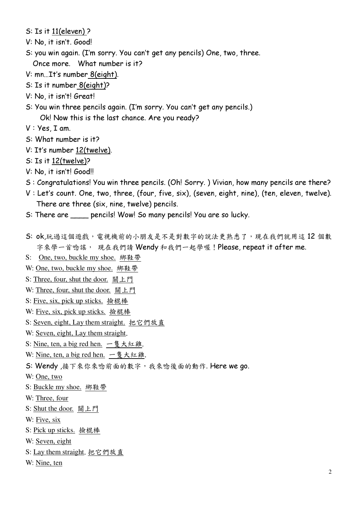$S: Is it 11 (eleven) ?$ 

- V: No, it isn't. Good!
- S: you win again. (I'm sorry. You can't get any pencils) One, two, three. Once more. What number is it?
- V: mn…It's number 8 (eight).
- S: Is it number 8(eight)?
- V: No, it isn't! Great!
- S: You win three pencils again. (I'm sorry. You can't get any pencils.) Ok! Now this is the last chance. Are you ready?
- $V: Yes, I am.$
- S: What number is it?
- V: It's number 12(twelve).
- $S: Is it 12(twe've)$ ?
- V: No, it isn't! Good!!
- S : Congratulations! You win three pencils. (Oh! Sorry.) Vivian, how many pencils are there?
- $V:$  Let's count. One, two, three, (four, five, six), (seven, eight, nine), (ten, eleven, twelve). There are three ( $six$ , nine, twelve) pencils.
- S: There are **pencils!** Wow! So many pencils! You are so lucky.
- S: ok,玩過這個遊戲,電視機前的小朋友是不是對數字的說法更熟悉了,現在我們就用這12個數 字來學一首唸謠, 現在我們請 Wendy 和我們一起學喔!Please, repeat it after me.
- S: One, two, buckle my shoe. 绑鞋帶
- W: One, two, buckle my shoe. 綁鞋帶
- S: Three, four, shut the door. 關上門
- W: Three, four, shut the door. 關上門
- S: Five, six, pick up sticks. 撿棍棒
- W: Five, six, pick up sticks. 撿棍棒
- S: Seven, eight, Lay them straight. 把它們放直
- W: Seven, eight, Lay them straight.
- S: Nine, ten, a big red hen. 一隻大紅雞.
- W: Nine, ten, a big red hen.  $-\xi \times \hat{*}$ .
- S: Wendy, 接下來你來唸前面的數字, 我來唸後面的動作. Here we go.
- W: One, two
- S: Buckle my shoe. 綁鞋帶
- W: Three, four
- S: Shut the door. 關上門
- W: Five, six
- S: Pick up sticks. 撿棍棒
- W: Seven, eight
- S: Lay them straight. 把它們放直
- W: Nine, ten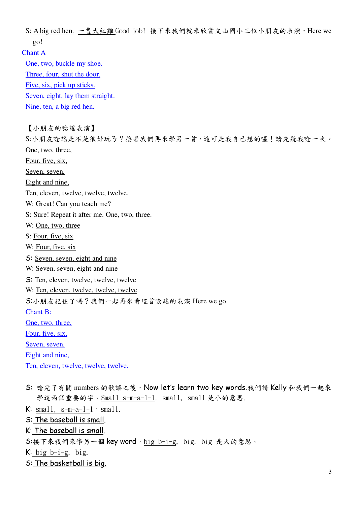S: A big red hen. 一隻大紅雞 Good job! 接下來我們就來欣賞文山國小三位小朋友的表演, Here we  $q_0!$ Chant A One, two, buckle my shoe.

Three, four, shut the door.

Five, six, pick up sticks.

Seven, eight, lay them straight.

Nine, ten, a big red hen.

【小朋友的唸謠表演】

S:小朋友唸謠是不是很好玩了?接著我們再來學另一首,這可是我自己想的喔!請先聽我唸一次。 One, two, three,

Four, five, six,

Seven, seven,

Eight and nine,

Ten, eleven, twelve, twelve, twelve.

W: Great! Can you teach me?

S: Sure! Repeat it after me. One, two, three.

W: One, two, three

S: Four, five, six

W: Four, five, six

S: Seven, seven, eight and nine

W: Seven, seven, eight and nine

S: Ten, eleven, twelve, twelve, twelve

W: Ten, eleven, twelve, twelve, twelve

S:小朋友記住了嗎?我們一起再來看這首唸謠的表演 Here we go.

**Chant B:** 

One, two, three,

Four, five, six,

Seven, seven,

Eight and nine,

Ten, eleven, twelve, twelve, twelve.

S: 唸完了有關 numbers 的歌謠之後, Now let's learn two key words.我們請 Kelly 和我們一起來 學這兩個重要的字。Small s-m-a-1-1. small, small 是小的意思.

 $K: small, s-m-a-l-1$ , small.

S: The baseball is small.

K: The baseball is small.

S:接下來我們來學另一個 key word, big b-i-g, big. big 是大的意思。

 $K:$  big b-i-g, big.

S: The basketball is big.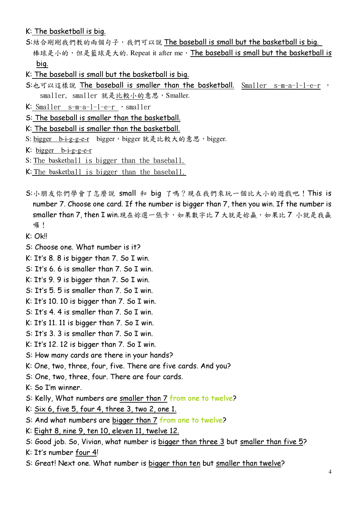# K: The basketball is big.

- S:結合剛剛我們教的兩個句子,我們可以說 The baseball is small but the basketball is big. 棒球是小的,但是籃球是大的. Repeat it after me, The baseball is small but the basketball is bia.
- K: The baseball is small but the basketball is big.
- S:也可以這樣說 The baseball is smaller than the basketball. Smaller s-m-a-l-l-e-r, smaller, smaller 就是比較小的意思, Smaller.
- $K:$  Smaller  $s-m-a-1-1-e-r$  , smaller
- S: The baseball is smaller than the basketball.
- K: The baseball is smaller than the basketball.
- S: bigger b-i-g-g-e-r bigger, bigger 就是比較大的意思, bigger.

 $K: bigger \ b-i-g-g-e-r$ 

- S: The basketball is bigger than the baseball.
- K: The basketball is bigger than the baseball.
- S:小朋友你們學會了怎麼說 small 和 big 了嗎?現在我們來玩一個比大小的遊戲吧! This is number 7. Choose one card. If the number is bigger than 7, then you win. If the number is smaller than 7, then I win.現在妳選一張卡, 如果數字比7大就是妳贏, 如果比7小就是我贏 囉!
- $K: OkII$
- S: Choose one. What number is it?
- K: It's 8. 8 is bigger than 7. So I win.
- S: It's 6, 6 is smaller than 7, So I win.
- K: It's 9.9 is bigger than 7. So I win.
- S: It's 5.5 is smaller than 7. So I win.
- K: It's 10. 10 is bigger than  $7.$  So I win.
- S: It's 4.4 is smaller than 7. So I win.
- K: It's 11. 11 is bigger than 7. So I win.
- S: It's 3. 3 is smaller than 7. So I win.
- K: It's 12. 12 is bigger than 7. So I win.
- S: How many cards are there in your hands?
- K: One, two, three, four, five. There are five cards. And you?
- S: One, two, three, four. There are four cards.
- K: So I'm winner.
- S: Kelly, What numbers are smaller than 7 from one to twelve?
- K:  $Six 6$ , five  $5$ , four  $4$ , three  $3$ , two  $2$ , one  $1$ .
- S: And what numbers are bigger than 7 from one to twelve?
- K: Eight 8, nine 9, ten 10, eleven 11, twelve 12.
- S: Good job. So, Vivian, what number is bigger than three 3 but smaller than five 5?
- K: It's number four 4!
- S: Great! Next one. What number is bigger than ten but smaller than twelve?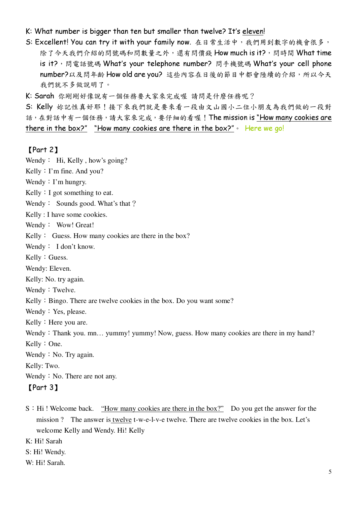## K: What number is bigger than ten but smaller than twelve? It's eleven!

- S: Excellent! You can try it with your family now. 在日常生活中,我們用到數字的機會很多, 除了今天我們介紹的問號碼和問數量之外,還有問價錢 How much is it?, 問時間 What time is it?, 問電話號碼 What's your telephone number? 問手機號碼 What's your cell phone number?以及問年齡 How old are you? 這些內容在日後的節目中都會陸續的介紹,所以今天 我們就不多做說明了。
- K: Sarah 你剛剛好像說有一個任務要大家來完成喔 請問是什麼任務呢?

S: Kelly 妳記性真好耶!接下來我們就是要來看一段由文山國小二位小朋友為我們做的一段對 話,在對話中有一個任務,請大家來完成,要仔細的看喔!The mission is "How many cookies are there in the box?" "How many cookies are there in the box?"  $\cdot$  Here we go!

#### $[Part 2]$

Wendy: Hi, Kelly, how's going?

Kelly: I'm fine. And you?

- Wendy  $: \Gamma$ m hungry.
- Kelly  $: I$  got something to eat.
- Wendy: Sounds good. What's that ?

Kelly : I have some cookies.

- Wendy: Wow! Great!
- Kelly: Guess. How many cookies are there in the box?
- Wendy: I don't know.
- Kelly: Guess.
- Wendy: Eleven.
- Kelly: No. try again.
- Wendy: Twelve.
- Kelly: Bingo. There are twelve cookies in the box. Do you want some?
- Wendy: Yes, please.
- Kelly : Here you are.
- Wendy: Thank you. mn... yummy! yummy! Now, guess. How many cookies are there in my hand?
- Kelly: One.
- Wendy  $:$  No. Try again.
- Kelly: Two.
- Wendy  $:$  No. There are not any.
- [Part 3]
- S: Hi! Welcome back. "How many cookies are there in the box?" Do you get the answer for the mission? The answer is twelve t-w-e-l-v-e twelve. There are twelve cookies in the box. Let's welcome Kelly and Wendy. Hi! Kelly
- K: Hi! Sarah
- S: Hi! Wendy.
- W: Hi! Sarah.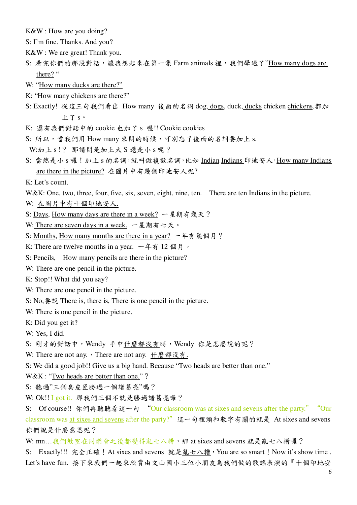K&W : How are you doing?

- S: I'm fine. Thanks. And you?
- K&W : We are great! Thank you.
- S: 看完你們的那段對話,讓我想起來在第一集 Farm animals 裡,我們學過了"How many dogs are there? "
- W: "How many ducks are there?"
- K: "How many chickens are there?"
- S: Exactly! 從這三句我們看出 How many 後面的名詞 dog, dogs, duck, ducks chicken chickens. 都加 上了。。
- K: 還有我們對話中的 cookie 也加了 s 喔!! Cookie cookies
- S: 所以,當我們用 How many 來問的時候,可別忘了後面的名詞要加上 s.

W:加上 s!? 那請問是加上大 S 還是小 s 呢?

- S: 當然是小 s 囉 ! 加上 s 的名詞, 就叫做複數名詞, 比如 Indian Indians 印地安人, How many Indians are there in the picture? 在圖片中有幾個印地安人呢?
- K: Let's count
- W&K: <u>One, two, three, four, five, six</u>, seven, eight, nine, ten. There are ten Indians in the picture.
- W: 在圖片中有十個印地安人.
- S: Days, How many days are there in a week? 一星期有幾天?
- W: There are seven days in a week. 一星期有七天。
- S: Months, How many months are there in a year? 一年有幾個月?
- K: There are twelve months in a year. 一年有 12 個月。
- S: Pencils, How many pencils are there in the picture?
- W: There are one pencil in the picture.
- K: Stop!! What did you say?
- W: There are one pencil in the picture.
- S: No,  $\frac{1}{2}$   $\frac{1}{2}$   $\frac{1}{2}$  There is, there is one is one pencil in the picture.
- W: There is one pencil in the picture.
- K: Did you get it?
- W: Yes, I did.
- S: 剛才的對話中, Wendy 手中什麼都沒有時, Wendy 你是怎麼說的呢?
- W: There are not any., There are not any. 什麼都沒有.
- S: We did a good job!! Give us a big hand. Because "Two heads are better than one."
- W&K : "Two heads are better than one."?
- S: 聽過"三個臭皮匠勝過一個諸葛亮"嗎?
- W: Ok!! I got it. 那我們三個不就是勝過諸葛亮囉?
- S: Of course!! 你們再聽聽看這一句 "Our classroom was at sixes and sevens after the party." "Our classroom was at sixes and sevens after the party?"這一句裡頭和數字有關的就是 At sixes and sevens 你們說是什麼意思呢?
- W: mn...我們教室在同樂會之後都變得亂七八糟,那 at sixes and sevens 就是亂七八糟囉?
- S: Exactly!!! 完全正確! At sixes and sevens 就是亂七八糟, You are so smart! Now it's show time. Let's have fun. 接下來我們一起來欣賞由文山國小三位小朋友為我們做的歌謠表演的『十個印地安